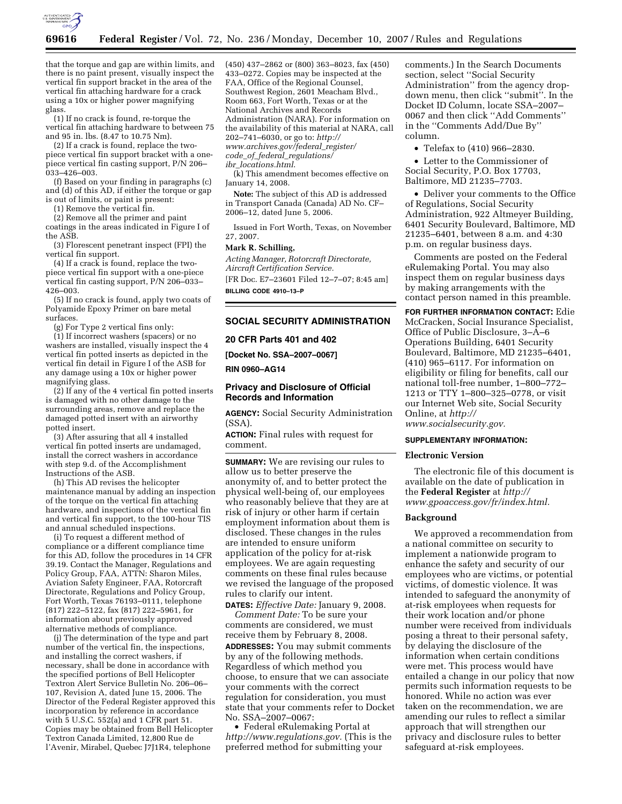

that the torque and gap are within limits, and there is no paint present, visually inspect the vertical fin support bracket in the area of the vertical fin attaching hardware for a crack using a 10x or higher power magnifying glass.

(1) If no crack is found, re-torque the vertical fin attaching hardware to between 75 and 95 in. lbs. (8.47 to 10.75 Nm).

(2) If a crack is found, replace the twopiece vertical fin support bracket with a onepiece vertical fin casting support, P/N 206– 033–426–003.

(f) Based on your finding in paragraphs (c) and (d) of this AD, if either the torque or gap is out of limits, or paint is present:

(1) Remove the vertical fin.

(2) Remove all the primer and paint coatings in the areas indicated in Figure I of the ASB.

(3) Florescent penetrant inspect (FPI) the vertical fin support.

(4) If a crack is found, replace the twopiece vertical fin support with a one-piece vertical fin casting support, P/N 206–033– 426–003.

(5) If no crack is found, apply two coats of Polyamide Epoxy Primer on bare metal surfaces.

(g) For Type 2 vertical fins only:

(1) If incorrect washers (spacers) or no washers are installed, visually inspect the 4 vertical fin potted inserts as depicted in the vertical fin detail in Figure I of the ASB for any damage using a 10x or higher power magnifying glass.

(2) If any of the 4 vertical fin potted inserts is damaged with no other damage to the surrounding areas, remove and replace the damaged potted insert with an airworthy potted insert.

(3) After assuring that all 4 installed vertical fin potted inserts are undamaged, install the correct washers in accordance with step 9.d. of the Accomplishment Instructions of the ASB.

(h) This AD revises the helicopter maintenance manual by adding an inspection of the torque on the vertical fin attaching hardware, and inspections of the vertical fin and vertical fin support, to the 100-hour TIS and annual scheduled inspections.

(i) To request a different method of compliance or a different compliance time for this AD, follow the procedures in 14 CFR 39.19. Contact the Manager, Regulations and Policy Group, FAA, ATTN: Sharon Miles, Aviation Safety Engineer, FAA, Rotorcraft Directorate, Regulations and Policy Group, Fort Worth, Texas 76193–0111, telephone (817) 222–5122, fax (817) 222–5961, for information about previously approved alternative methods of compliance.

(j) The determination of the type and part number of the vertical fin, the inspections, and installing the correct washers, if necessary, shall be done in accordance with the specified portions of Bell Helicopter Textron Alert Service Bulletin No. 206–06– 107, Revision A, dated June 15, 2006. The Director of the Federal Register approved this incorporation by reference in accordance with 5 U.S.C. 552(a) and 1 CFR part 51. Copies may be obtained from Bell Helicopter Textron Canada Limited, 12,800 Rue de l'Avenir, Mirabel, Quebec J7J1R4, telephone

(450) 437–2862 or (800) 363–8023, fax (450) 433–0272. Copies may be inspected at the FAA, Office of the Regional Counsel, Southwest Region, 2601 Meacham Blvd., Room 663, Fort Worth, Texas or at the National Archives and Records Administration (NARA). For information on the availability of this material at NARA, call 202–741–6030, or go to: *http:// www.archives.gov/federal*\_*register/ code*\_*of*\_*federal*\_*regulations/* 

*ibr*\_*locations.html*.

(k) This amendment becomes effective on January 14, 2008.

**Note:** The subject of this AD is addressed in Transport Canada (Canada) AD No. CF– 2006–12, dated June 5, 2006.

Issued in Fort Worth, Texas, on November 27, 2007.

#### **Mark R. Schilling,**

*Acting Manager, Rotorcraft Directorate, Aircraft Certification Service.*  [FR Doc. E7–23601 Filed 12–7–07; 8:45 am] **BILLING CODE 4910–13–P** 

# **SOCIAL SECURITY ADMINISTRATION**

**20 CFR Parts 401 and 402** 

**[Docket No. SSA–2007–0067]** 

**RIN 0960–AG14** 

# **Privacy and Disclosure of Official Records and Information**

**AGENCY:** Social Security Administration (SSA).

**ACTION:** Final rules with request for comment.

**SUMMARY:** We are revising our rules to allow us to better preserve the anonymity of, and to better protect the physical well-being of, our employees who reasonably believe that they are at risk of injury or other harm if certain employment information about them is disclosed. These changes in the rules are intended to ensure uniform application of the policy for at-risk employees. We are again requesting comments on these final rules because we revised the language of the proposed rules to clarify our intent.

**DATES:** *Effective Date:* January 9, 2008. *Comment Date:* To be sure your comments are considered, we must receive them by February 8, 2008. **ADDRESSES:** You may submit comments by any of the following methods. Regardless of which method you choose, to ensure that we can associate your comments with the correct regulation for consideration, you must state that your comments refer to Docket No. SSA–2007–0067:

• Federal eRulemaking Portal at *http://www.regulations.gov.* (This is the preferred method for submitting your

comments.) In the Search Documents section, select ''Social Security Administration'' from the agency dropdown menu, then click ''submit''. In the Docket ID Column, locate SSA–2007– 0067 and then click ''Add Comments'' in the ''Comments Add/Due By'' column.

• Telefax to (410) 966–2830.

• Letter to the Commissioner of Social Security, P.O. Box 17703, Baltimore, MD 21235–7703.

• Deliver your comments to the Office of Regulations, Social Security Administration, 922 Altmeyer Building, 6401 Security Boulevard, Baltimore, MD 21235–6401, between 8 a.m. and 4:30 p.m. on regular business days.

Comments are posted on the Federal eRulemaking Portal. You may also inspect them on regular business days by making arrangements with the contact person named in this preamble.

**FOR FURTHER INFORMATION CONTACT:** Edie McCracken, Social Insurance Specialist, Office of Public Disclosure, 3–A–6 Operations Building, 6401 Security Boulevard, Baltimore, MD 21235–6401, (410) 965–6117. For information on eligibility or filing for benefits, call our national toll-free number, 1–800–772– 1213 or TTY 1–800–325–0778, or visit our Internet Web site, Social Security Online, at *http://* 

*www.socialsecurity.gov.* 

# **SUPPLEMENTARY INFORMATION:**

## **Electronic Version**

The electronic file of this document is available on the date of publication in the **Federal Register** at *http:// www.gpoaccess.gov/fr/index.html.* 

# **Background**

We approved a recommendation from a national committee on security to implement a nationwide program to enhance the safety and security of our employees who are victims, or potential victims, of domestic violence. It was intended to safeguard the anonymity of at-risk employees when requests for their work location and/or phone number were received from individuals posing a threat to their personal safety, by delaying the disclosure of the information when certain conditions were met. This process would have entailed a change in our policy that now permits such information requests to be honored. While no action was ever taken on the recommendation, we are amending our rules to reflect a similar approach that will strengthen our privacy and disclosure rules to better safeguard at-risk employees.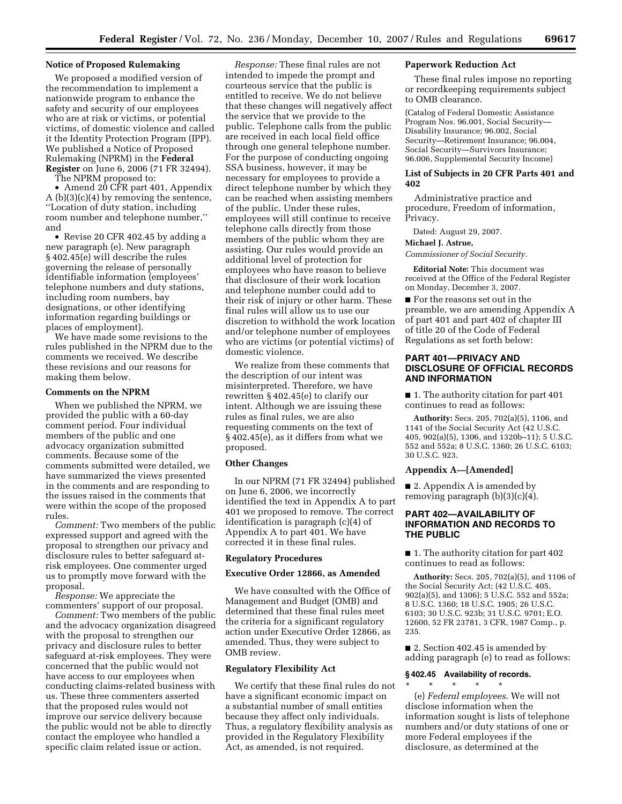# **Notice of Proposed Rulemaking**

We proposed a modified version of the recommendation to implement a nationwide program to enhance the safety and security of our employees who are at risk or victims, or potential victims, of domestic violence and called it the Identity Protection Program (IPP). We published a Notice of Proposed Rulemaking (NPRM) in the **Federal Register** on June 6, 2006 (71 FR 32494).

The NPRM proposed to:

• Amend  $20$  CFR part 401, Appendix A (b)(3)(c)(4) by removing the sentence, ''Location of duty station, including room number and telephone number,'' and

• Revise 20 CFR 402.45 by adding a new paragraph (e). New paragraph § 402.45(e) will describe the rules governing the release of personally identifiable information (employees' telephone numbers and duty stations, including room numbers, bay designations, or other identifying information regarding buildings or places of employment).

We have made some revisions to the rules published in the NPRM due to the comments we received. We describe these revisions and our reasons for making them below.

#### **Comments on the NPRM**

When we published the NPRM, we provided the public with a 60-day comment period. Four individual members of the public and one advocacy organization submitted comments. Because some of the comments submitted were detailed, we have summarized the views presented in the comments and are responding to the issues raised in the comments that were within the scope of the proposed rules.

*Comment:* Two members of the public expressed support and agreed with the proposal to strengthen our privacy and disclosure rules to better safeguard atrisk employees. One commenter urged us to promptly move forward with the proposal.

*Response:* We appreciate the commenters' support of our proposal.

*Comment:* Two members of the public and the advocacy organization disagreed with the proposal to strengthen our privacy and disclosure rules to better safeguard at-risk employees. They were concerned that the public would not have access to our employees when conducting claims-related business with us. These three commenters asserted that the proposed rules would not improve our service delivery because the public would not be able to directly contact the employee who handled a specific claim related issue or action.

*Response:* These final rules are not intended to impede the prompt and courteous service that the public is entitled to receive. We do not believe that these changes will negatively affect the service that we provide to the public. Telephone calls from the public are received in each local field office through one general telephone number. For the purpose of conducting ongoing SSA business, however, it may be necessary for employees to provide a direct telephone number by which they can be reached when assisting members of the public. Under these rules, employees will still continue to receive telephone calls directly from those members of the public whom they are assisting. Our rules would provide an additional level of protection for employees who have reason to believe that disclosure of their work location and telephone number could add to their risk of injury or other harm. These final rules will allow us to use our discretion to withhold the work location and/or telephone number of employees who are victims (or potential victims) of domestic violence.

We realize from these comments that the description of our intent was misinterpreted. Therefore, we have rewritten § 402.45(e) to clarify our intent. Although we are issuing these rules as final rules, we are also requesting comments on the text of § 402.45(e), as it differs from what we proposed.

## **Other Changes**

In our NPRM (71 FR 32494) published on June 6, 2006, we incorrectly identified the text in Appendix A to part 401 we proposed to remove. The correct identification is paragraph (c)(4) of Appendix A to part 401. We have corrected it in these final rules.

### **Regulatory Procedures**

# **Executive Order 12866, as Amended**

We have consulted with the Office of Management and Budget (OMB) and determined that these final rules meet the criteria for a significant regulatory action under Executive Order 12866, as amended. Thus, they were subject to OMB review.

# **Regulatory Flexibility Act**

We certify that these final rules do not have a significant economic impact on a substantial number of small entities because they affect only individuals. Thus, a regulatory flexibility analysis as provided in the Regulatory Flexibility Act, as amended, is not required.

# **Paperwork Reduction Act**

These final rules impose no reporting or recordkeeping requirements subject to OMB clearance.

(Catalog of Federal Domestic Assistance Program Nos. 96.001, Social Security— Disability Insurance; 96.002, Social Security—Retirement Insurance; 96.004, Social Security—Survivors Insurance; 96.006, Supplemental Security Income)

# **List of Subjects in 20 CFR Parts 401 and 402**

Administrative practice and procedure, Freedom of information, Privacy.

Dated: August 29, 2007.

#### **Michael J. Astrue,**

*Commissioner of Social Security.* 

**Editorial Note:** This document was received at the Office of the Federal Register on Monday, December 3, 2007.

■ For the reasons set out in the preamble, we are amending Appendix A of part 401 and part 402 of chapter III of title 20 of the Code of Federal Regulations as set forth below:

# **PART 401—PRIVACY AND DISCLOSURE OF OFFICIAL RECORDS AND INFORMATION**

■ 1. The authority citation for part 401 continues to read as follows:

**Authority:** Secs. 205, 702(a)(5), 1106, and 1141 of the Social Security Act (42 U.S.C. 405, 902(a)(5), 1306, and 1320b–11); 5 U.S.C. 552 and 552a; 8 U.S.C. 1360; 26 U.S.C. 6103; 30 U.S.C. 923.

## **Appendix A—[Amended]**

■ 2. Appendix A is amended by removing paragraph (b)(3)(c)(4).

# **PART 402—AVAILABILITY OF INFORMATION AND RECORDS TO THE PUBLIC**

■ 1. The authority citation for part 402 continues to read as follows:

**Authority:** Secs. 205, 702(a)(5), and 1106 of the Social Security Act; (42 U.S.C. 405, 902(a)(5), and 1306); 5 U.S.C. 552 and 552a; 8 U.S.C. 1360; 18 U.S.C. 1905; 26 U.S.C. 6103; 30 U.S.C. 923b; 31 U.S.C. 9701; E.O. 12600, 52 FR 23781, 3 CFR, 1987 Comp., p. 235.

■ 2. Section 402.45 is amended by adding paragraph (e) to read as follows:

# **§ 402.45 Availability of records.**

 $*$  \* \*

(e) *Federal employees*. We will not disclose information when the information sought is lists of telephone numbers and/or duty stations of one or more Federal employees if the disclosure, as determined at the